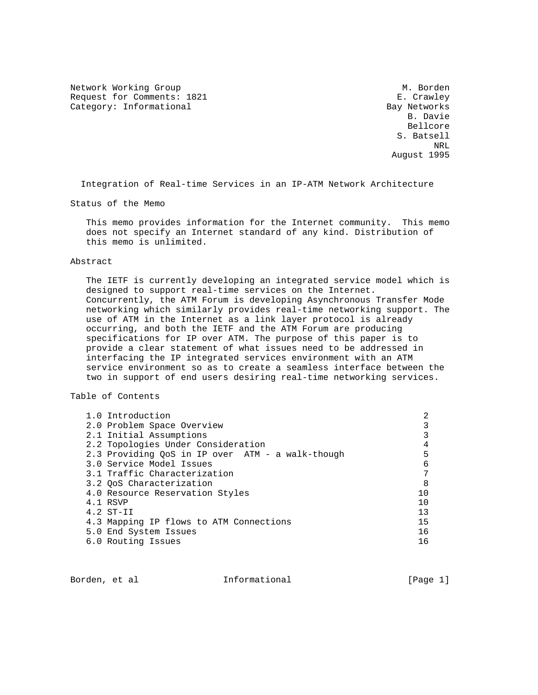Network Working Group Methods and M. Borden Request for Comments: 1821 E. Crawley Category: Informational Bay Networks<br>B. Davie

 B. Davie Bellcore S. Batsell ne de la provincia de la provincia de la provincia de la provincia de la provincia de la provincia de la provi<br>NRL August 1995

Integration of Real-time Services in an IP-ATM Network Architecture

Status of the Memo

 This memo provides information for the Internet community. This memo does not specify an Internet standard of any kind. Distribution of this memo is unlimited.

#### Abstract

 The IETF is currently developing an integrated service model which is designed to support real-time services on the Internet. Concurrently, the ATM Forum is developing Asynchronous Transfer Mode networking which similarly provides real-time networking support. The use of ATM in the Internet as a link layer protocol is already occurring, and both the IETF and the ATM Forum are producing specifications for IP over ATM. The purpose of this paper is to provide a clear statement of what issues need to be addressed in interfacing the IP integrated services environment with an ATM service environment so as to create a seamless interface between the two in support of end users desiring real-time networking services.

# Table of Contents

| 5              |
|----------------|
| 6              |
|                |
| 8              |
|                |
| 1 <sub>0</sub> |
| 13             |
| 15             |
| 16             |
| 1 6            |
|                |

Borden, et al informational [Page 1]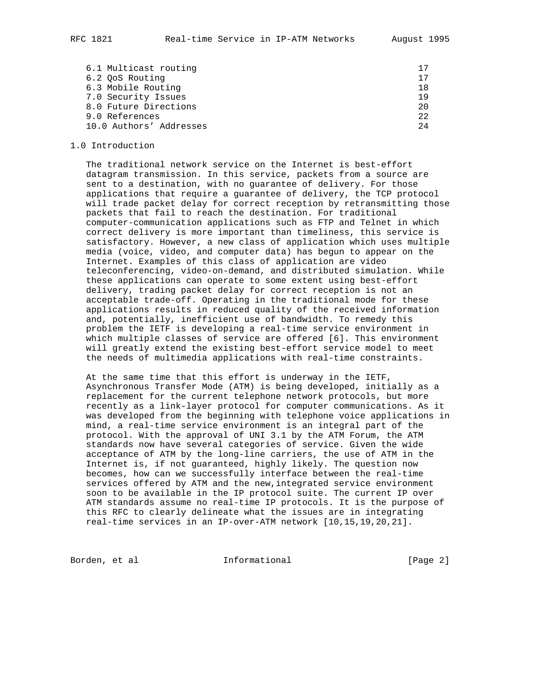6.1 Multicast routing 17 6.2 QoS Routing 17 6.3 Mobile Routing 18 7.0 Security Issues 19 8.0 Future Directions 20 9.0 References 22 10.0 Authors' Addresses 24

### 1.0 Introduction

 The traditional network service on the Internet is best-effort datagram transmission. In this service, packets from a source are sent to a destination, with no guarantee of delivery. For those applications that require a guarantee of delivery, the TCP protocol will trade packet delay for correct reception by retransmitting those packets that fail to reach the destination. For traditional computer-communication applications such as FTP and Telnet in which correct delivery is more important than timeliness, this service is satisfactory. However, a new class of application which uses multiple media (voice, video, and computer data) has begun to appear on the Internet. Examples of this class of application are video teleconferencing, video-on-demand, and distributed simulation. While these applications can operate to some extent using best-effort delivery, trading packet delay for correct reception is not an acceptable trade-off. Operating in the traditional mode for these applications results in reduced quality of the received information and, potentially, inefficient use of bandwidth. To remedy this problem the IETF is developing a real-time service environment in which multiple classes of service are offered [6]. This environment will greatly extend the existing best-effort service model to meet the needs of multimedia applications with real-time constraints.

 At the same time that this effort is underway in the IETF, Asynchronous Transfer Mode (ATM) is being developed, initially as a replacement for the current telephone network protocols, but more recently as a link-layer protocol for computer communications. As it was developed from the beginning with telephone voice applications in mind, a real-time service environment is an integral part of the protocol. With the approval of UNI 3.1 by the ATM Forum, the ATM standards now have several categories of service. Given the wide acceptance of ATM by the long-line carriers, the use of ATM in the Internet is, if not guaranteed, highly likely. The question now becomes, how can we successfully interface between the real-time services offered by ATM and the new,integrated service environment soon to be available in the IP protocol suite. The current IP over ATM standards assume no real-time IP protocols. It is the purpose of this RFC to clearly delineate what the issues are in integrating real-time services in an IP-over-ATM network [10,15,19,20,21].

Borden, et al informational informational [Page 2]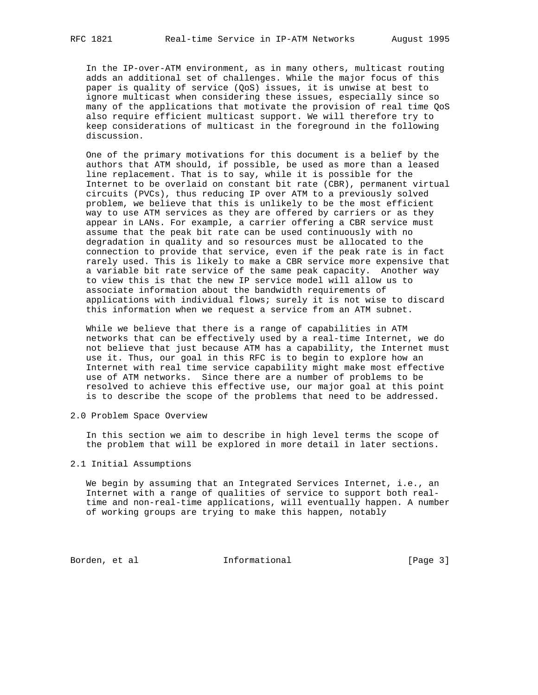In the IP-over-ATM environment, as in many others, multicast routing adds an additional set of challenges. While the major focus of this paper is quality of service (QoS) issues, it is unwise at best to ignore multicast when considering these issues, especially since so many of the applications that motivate the provision of real time QoS also require efficient multicast support. We will therefore try to keep considerations of multicast in the foreground in the following discussion.

 One of the primary motivations for this document is a belief by the authors that ATM should, if possible, be used as more than a leased line replacement. That is to say, while it is possible for the Internet to be overlaid on constant bit rate (CBR), permanent virtual circuits (PVCs), thus reducing IP over ATM to a previously solved problem, we believe that this is unlikely to be the most efficient way to use ATM services as they are offered by carriers or as they appear in LANs. For example, a carrier offering a CBR service must assume that the peak bit rate can be used continuously with no degradation in quality and so resources must be allocated to the connection to provide that service, even if the peak rate is in fact rarely used. This is likely to make a CBR service more expensive that a variable bit rate service of the same peak capacity. Another way to view this is that the new IP service model will allow us to associate information about the bandwidth requirements of applications with individual flows; surely it is not wise to discard this information when we request a service from an ATM subnet.

 While we believe that there is a range of capabilities in ATM networks that can be effectively used by a real-time Internet, we do not believe that just because ATM has a capability, the Internet must use it. Thus, our goal in this RFC is to begin to explore how an Internet with real time service capability might make most effective use of ATM networks. Since there are a number of problems to be resolved to achieve this effective use, our major goal at this point is to describe the scope of the problems that need to be addressed.

2.0 Problem Space Overview

 In this section we aim to describe in high level terms the scope of the problem that will be explored in more detail in later sections.

### 2.1 Initial Assumptions

 We begin by assuming that an Integrated Services Internet, i.e., an Internet with a range of qualities of service to support both real time and non-real-time applications, will eventually happen. A number of working groups are trying to make this happen, notably

Borden, et al **Informational** [Page 3]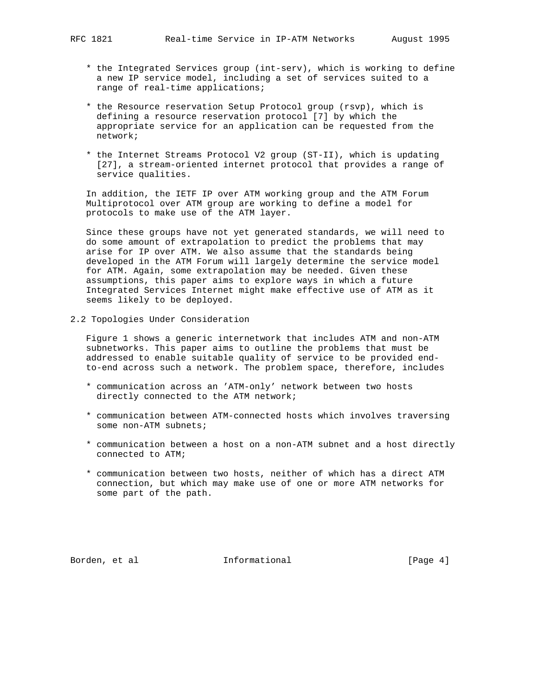- \* the Integrated Services group (int-serv), which is working to define a new IP service model, including a set of services suited to a range of real-time applications;
- \* the Resource reservation Setup Protocol group (rsvp), which is defining a resource reservation protocol [7] by which the appropriate service for an application can be requested from the network;
- \* the Internet Streams Protocol V2 group (ST-II), which is updating [27], a stream-oriented internet protocol that provides a range of service qualities.

 In addition, the IETF IP over ATM working group and the ATM Forum Multiprotocol over ATM group are working to define a model for protocols to make use of the ATM layer.

 Since these groups have not yet generated standards, we will need to do some amount of extrapolation to predict the problems that may arise for IP over ATM. We also assume that the standards being developed in the ATM Forum will largely determine the service model for ATM. Again, some extrapolation may be needed. Given these assumptions, this paper aims to explore ways in which a future Integrated Services Internet might make effective use of ATM as it seems likely to be deployed.

2.2 Topologies Under Consideration

 Figure 1 shows a generic internetwork that includes ATM and non-ATM subnetworks. This paper aims to outline the problems that must be addressed to enable suitable quality of service to be provided end to-end across such a network. The problem space, therefore, includes

- \* communication across an 'ATM-only' network between two hosts directly connected to the ATM network;
- \* communication between ATM-connected hosts which involves traversing some non-ATM subnets;
- \* communication between a host on a non-ATM subnet and a host directly connected to ATM;
- \* communication between two hosts, neither of which has a direct ATM connection, but which may make use of one or more ATM networks for some part of the path.

Borden, et al informational informational [Page 4]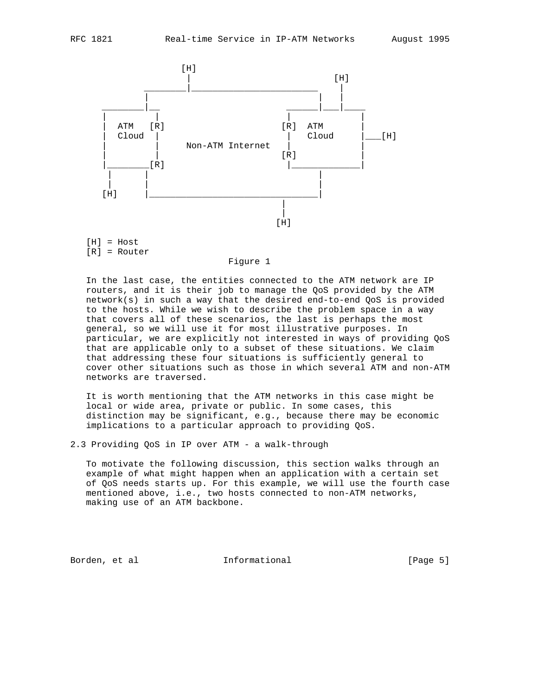

 $[H] = Host$ [R] = Router

Figure 1

 In the last case, the entities connected to the ATM network are IP routers, and it is their job to manage the QoS provided by the ATM network(s) in such a way that the desired end-to-end QoS is provided to the hosts. While we wish to describe the problem space in a way that covers all of these scenarios, the last is perhaps the most general, so we will use it for most illustrative purposes. In particular, we are explicitly not interested in ways of providing QoS that are applicable only to a subset of these situations. We claim that addressing these four situations is sufficiently general to cover other situations such as those in which several ATM and non-ATM networks are traversed.

 It is worth mentioning that the ATM networks in this case might be local or wide area, private or public. In some cases, this distinction may be significant, e.g., because there may be economic implications to a particular approach to providing QoS.

2.3 Providing QoS in IP over ATM - a walk-through

 To motivate the following discussion, this section walks through an example of what might happen when an application with a certain set of QoS needs starts up. For this example, we will use the fourth case mentioned above, i.e., two hosts connected to non-ATM networks, making use of an ATM backbone.

Borden, et al informational [Page 5]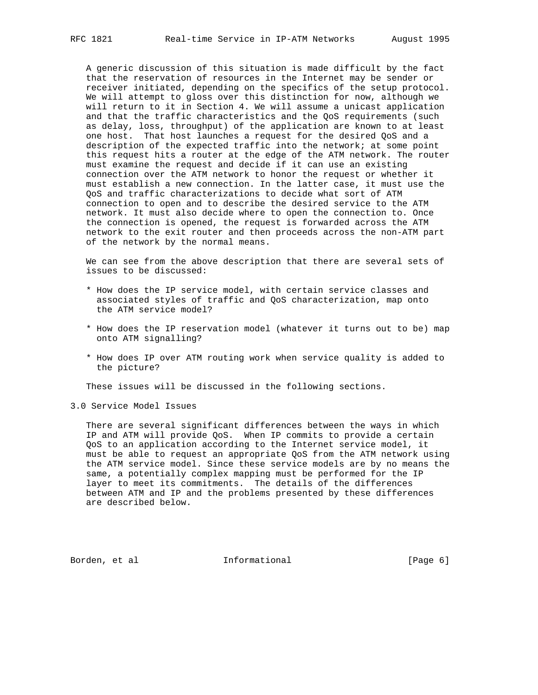A generic discussion of this situation is made difficult by the fact that the reservation of resources in the Internet may be sender or receiver initiated, depending on the specifics of the setup protocol. We will attempt to gloss over this distinction for now, although we will return to it in Section 4. We will assume a unicast application and that the traffic characteristics and the QoS requirements (such as delay, loss, throughput) of the application are known to at least one host. That host launches a request for the desired QoS and a description of the expected traffic into the network; at some point this request hits a router at the edge of the ATM network. The router must examine the request and decide if it can use an existing connection over the ATM network to honor the request or whether it must establish a new connection. In the latter case, it must use the QoS and traffic characterizations to decide what sort of ATM connection to open and to describe the desired service to the ATM network. It must also decide where to open the connection to. Once the connection is opened, the request is forwarded across the ATM network to the exit router and then proceeds across the non-ATM part of the network by the normal means.

 We can see from the above description that there are several sets of issues to be discussed:

- \* How does the IP service model, with certain service classes and associated styles of traffic and QoS characterization, map onto the ATM service model?
- \* How does the IP reservation model (whatever it turns out to be) map onto ATM signalling?
- \* How does IP over ATM routing work when service quality is added to the picture?

These issues will be discussed in the following sections.

3.0 Service Model Issues

 There are several significant differences between the ways in which IP and ATM will provide QoS. When IP commits to provide a certain QoS to an application according to the Internet service model, it must be able to request an appropriate QoS from the ATM network using the ATM service model. Since these service models are by no means the same, a potentially complex mapping must be performed for the IP layer to meet its commitments. The details of the differences between ATM and IP and the problems presented by these differences are described below.

Borden, et al **Informational** [Page 6]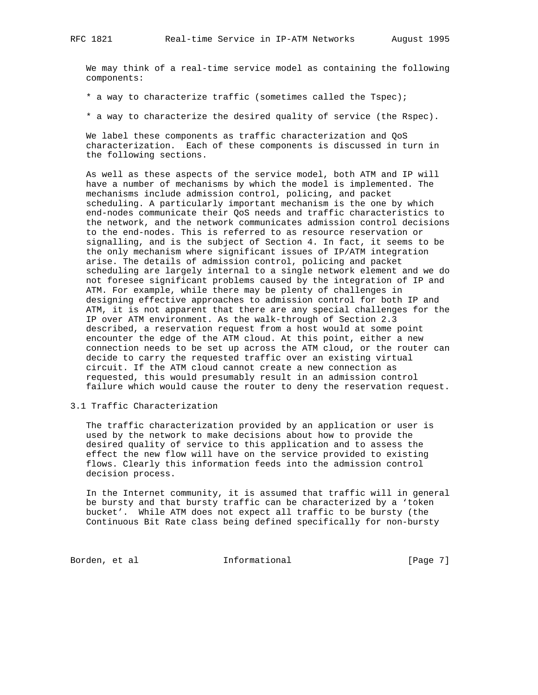We may think of a real-time service model as containing the following components:

\* a way to characterize traffic (sometimes called the Tspec);

\* a way to characterize the desired quality of service (the Rspec).

 We label these components as traffic characterization and QoS characterization. Each of these components is discussed in turn in the following sections.

 As well as these aspects of the service model, both ATM and IP will have a number of mechanisms by which the model is implemented. The mechanisms include admission control, policing, and packet scheduling. A particularly important mechanism is the one by which end-nodes communicate their QoS needs and traffic characteristics to the network, and the network communicates admission control decisions to the end-nodes. This is referred to as resource reservation or signalling, and is the subject of Section 4. In fact, it seems to be the only mechanism where significant issues of IP/ATM integration arise. The details of admission control, policing and packet scheduling are largely internal to a single network element and we do not foresee significant problems caused by the integration of IP and ATM. For example, while there may be plenty of challenges in designing effective approaches to admission control for both IP and ATM, it is not apparent that there are any special challenges for the IP over ATM environment. As the walk-through of Section 2.3 described, a reservation request from a host would at some point encounter the edge of the ATM cloud. At this point, either a new connection needs to be set up across the ATM cloud, or the router can decide to carry the requested traffic over an existing virtual circuit. If the ATM cloud cannot create a new connection as requested, this would presumably result in an admission control failure which would cause the router to deny the reservation request.

3.1 Traffic Characterization

 The traffic characterization provided by an application or user is used by the network to make decisions about how to provide the desired quality of service to this application and to assess the effect the new flow will have on the service provided to existing flows. Clearly this information feeds into the admission control decision process.

 In the Internet community, it is assumed that traffic will in general be bursty and that bursty traffic can be characterized by a 'token bucket'. While ATM does not expect all traffic to be bursty (the Continuous Bit Rate class being defined specifically for non-bursty

Borden, et al **Informational** [Page 7]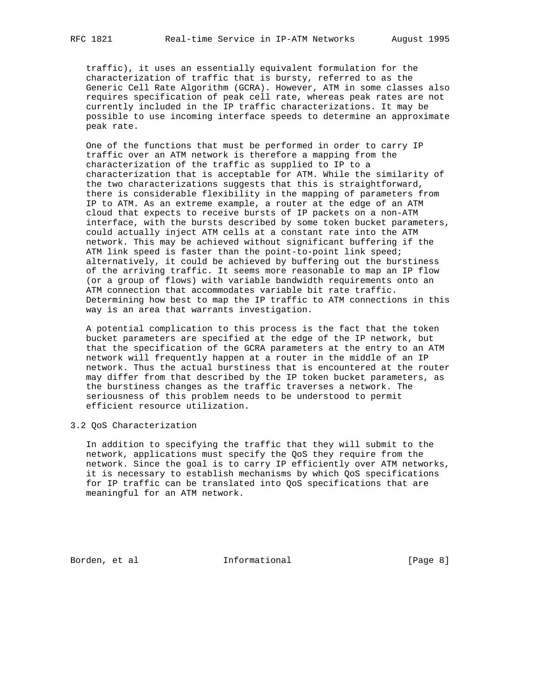traffic), it uses an essentially equivalent formulation for the characterization of traffic that is bursty, referred to as the Generic Cell Rate Algorithm (GCRA). However, ATM in some classes also requires specification of peak cell rate, whereas peak rates are not currently included in the IP traffic characterizations. It may be possible to use incoming interface speeds to determine an approximate peak rate.

 One of the functions that must be performed in order to carry IP traffic over an ATM network is therefore a mapping from the characterization of the traffic as supplied to IP to a characterization that is acceptable for ATM. While the similarity of the two characterizations suggests that this is straightforward, there is considerable flexibility in the mapping of parameters from IP to ATM. As an extreme example, a router at the edge of an ATM cloud that expects to receive bursts of IP packets on a non-ATM interface, with the bursts described by some token bucket parameters, could actually inject ATM cells at a constant rate into the ATM network. This may be achieved without significant buffering if the ATM link speed is faster than the point-to-point link speed; alternatively, it could be achieved by buffering out the burstiness of the arriving traffic. It seems more reasonable to map an IP flow (or a group of flows) with variable bandwidth requirements onto an ATM connection that accommodates variable bit rate traffic. Determining how best to map the IP traffic to ATM connections in this way is an area that warrants investigation.

 A potential complication to this process is the fact that the token bucket parameters are specified at the edge of the IP network, but that the specification of the GCRA parameters at the entry to an ATM network will frequently happen at a router in the middle of an IP network. Thus the actual burstiness that is encountered at the router may differ from that described by the IP token bucket parameters, as the burstiness changes as the traffic traverses a network. The seriousness of this problem needs to be understood to permit efficient resource utilization.

3.2 QoS Characterization

 In addition to specifying the traffic that they will submit to the network, applications must specify the QoS they require from the network. Since the goal is to carry IP efficiently over ATM networks, it is necessary to establish mechanisms by which QoS specifications for IP traffic can be translated into QoS specifications that are meaningful for an ATM network.

Borden, et al **Informational** [Page 8]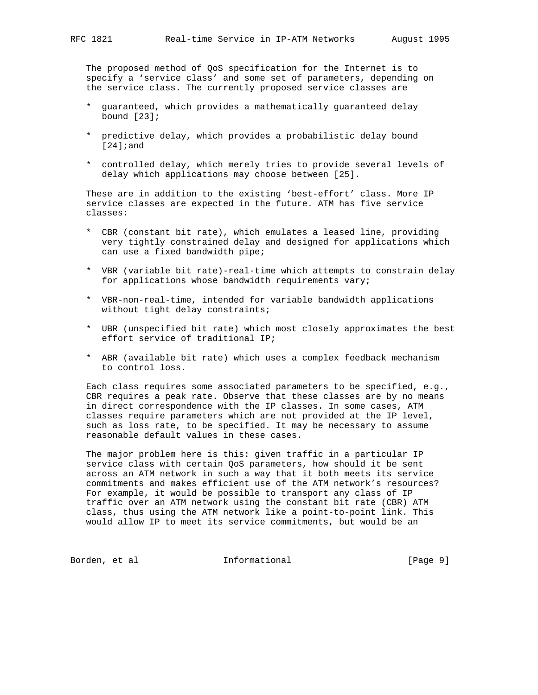The proposed method of QoS specification for the Internet is to specify a 'service class' and some set of parameters, depending on the service class. The currently proposed service classes are

- \* guaranteed, which provides a mathematically guaranteed delay bound  $[23]$ ;
- \* predictive delay, which provides a probabilistic delay bound [24];and
- \* controlled delay, which merely tries to provide several levels of delay which applications may choose between [25].

 These are in addition to the existing 'best-effort' class. More IP service classes are expected in the future. ATM has five service classes:

- \* CBR (constant bit rate), which emulates a leased line, providing very tightly constrained delay and designed for applications which can use a fixed bandwidth pipe;
- \* VBR (variable bit rate)-real-time which attempts to constrain delay for applications whose bandwidth requirements vary;
- \* VBR-non-real-time, intended for variable bandwidth applications without tight delay constraints;
- \* UBR (unspecified bit rate) which most closely approximates the best effort service of traditional IP;
- \* ABR (available bit rate) which uses a complex feedback mechanism to control loss.

 Each class requires some associated parameters to be specified, e.g., CBR requires a peak rate. Observe that these classes are by no means in direct correspondence with the IP classes. In some cases, ATM classes require parameters which are not provided at the IP level, such as loss rate, to be specified. It may be necessary to assume reasonable default values in these cases.

 The major problem here is this: given traffic in a particular IP service class with certain QoS parameters, how should it be sent across an ATM network in such a way that it both meets its service commitments and makes efficient use of the ATM network's resources? For example, it would be possible to transport any class of IP traffic over an ATM network using the constant bit rate (CBR) ATM class, thus using the ATM network like a point-to-point link. This would allow IP to meet its service commitments, but would be an

Borden, et al informational informational [Page 9]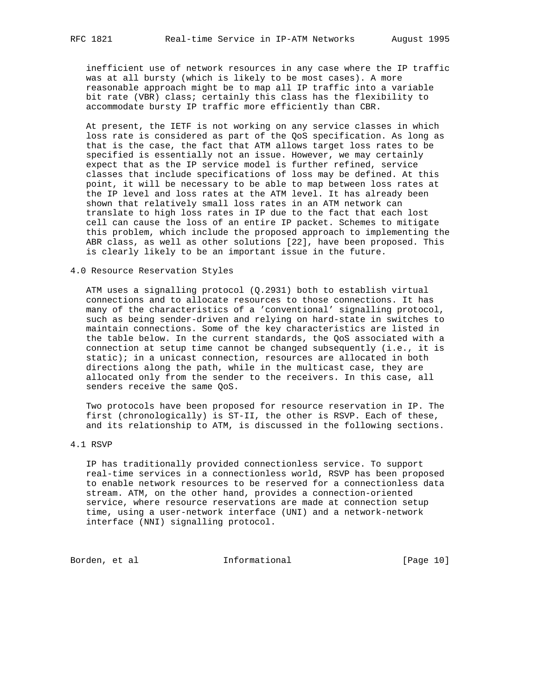inefficient use of network resources in any case where the IP traffic was at all bursty (which is likely to be most cases). A more reasonable approach might be to map all IP traffic into a variable bit rate (VBR) class; certainly this class has the flexibility to accommodate bursty IP traffic more efficiently than CBR.

 At present, the IETF is not working on any service classes in which loss rate is considered as part of the QoS specification. As long as that is the case, the fact that ATM allows target loss rates to be specified is essentially not an issue. However, we may certainly expect that as the IP service model is further refined, service classes that include specifications of loss may be defined. At this point, it will be necessary to be able to map between loss rates at the IP level and loss rates at the ATM level. It has already been shown that relatively small loss rates in an ATM network can translate to high loss rates in IP due to the fact that each lost cell can cause the loss of an entire IP packet. Schemes to mitigate this problem, which include the proposed approach to implementing the ABR class, as well as other solutions [22], have been proposed. This is clearly likely to be an important issue in the future.

4.0 Resource Reservation Styles

 ATM uses a signalling protocol (Q.2931) both to establish virtual connections and to allocate resources to those connections. It has many of the characteristics of a 'conventional' signalling protocol, such as being sender-driven and relying on hard-state in switches to maintain connections. Some of the key characteristics are listed in the table below. In the current standards, the QoS associated with a connection at setup time cannot be changed subsequently (i.e., it is static); in a unicast connection, resources are allocated in both directions along the path, while in the multicast case, they are allocated only from the sender to the receivers. In this case, all senders receive the same QoS.

 Two protocols have been proposed for resource reservation in IP. The first (chronologically) is ST-II, the other is RSVP. Each of these, and its relationship to ATM, is discussed in the following sections.

### 4.1 RSVP

 IP has traditionally provided connectionless service. To support real-time services in a connectionless world, RSVP has been proposed to enable network resources to be reserved for a connectionless data stream. ATM, on the other hand, provides a connection-oriented service, where resource reservations are made at connection setup time, using a user-network interface (UNI) and a network-network interface (NNI) signalling protocol.

Borden, et al informational [Page 10]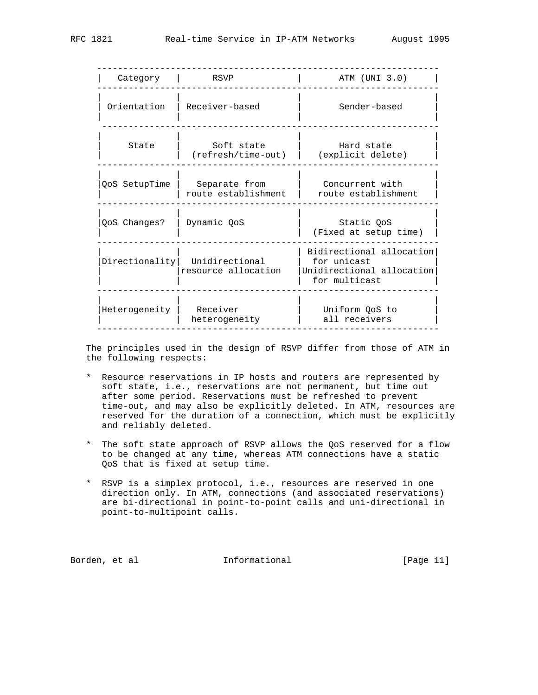| Category      | RSVP                                                 | ATM (UNI 3.0)                                                                         |
|---------------|------------------------------------------------------|---------------------------------------------------------------------------------------|
| Orientation   | Receiver-based                                       | Sender-based                                                                          |
| State         | Soft state<br>(refresh/time-out)                     | Hard state<br>(explicit delete)                                                       |
| QoS SetupTime | Separate from<br>route establishment                 | Concurrent with<br>route establishment                                                |
| QoS Changes?  | Dynamic QoS                                          | Static QoS<br>(Fixed at setup time)                                                   |
|               | Directionality Unidirectional<br>resource allocation | Bidirectional allocation<br>for unicast<br>Unidirectional allocation<br>for multicast |
| Heterogeneity | Receiver<br>heterogeneity                            | Uniform QoS to<br>all receivers                                                       |

 The principles used in the design of RSVP differ from those of ATM in the following respects:

- \* Resource reservations in IP hosts and routers are represented by soft state, i.e., reservations are not permanent, but time out after some period. Reservations must be refreshed to prevent time-out, and may also be explicitly deleted. In ATM, resources are reserved for the duration of a connection, which must be explicitly and reliably deleted.
- \* The soft state approach of RSVP allows the QoS reserved for a flow to be changed at any time, whereas ATM connections have a static QoS that is fixed at setup time.
- \* RSVP is a simplex protocol, i.e., resources are reserved in one direction only. In ATM, connections (and associated reservations) are bi-directional in point-to-point calls and uni-directional in point-to-multipoint calls.

Borden, et al informational [Page 11]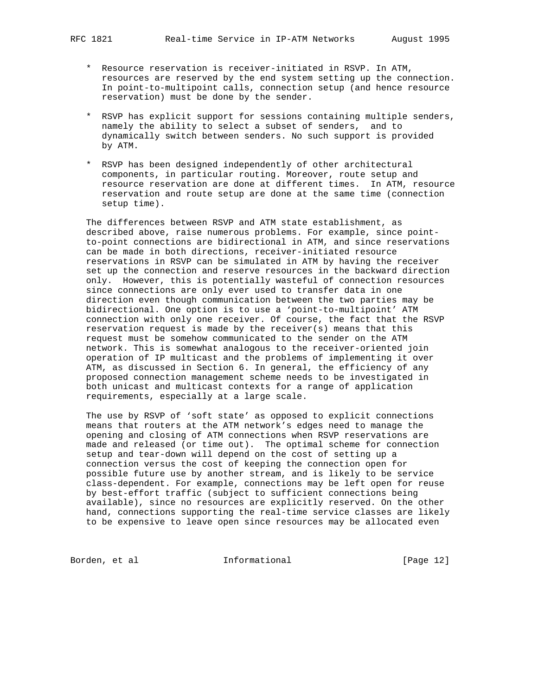- \* Resource reservation is receiver-initiated in RSVP. In ATM, resources are reserved by the end system setting up the connection. In point-to-multipoint calls, connection setup (and hence resource reservation) must be done by the sender.
- \* RSVP has explicit support for sessions containing multiple senders, namely the ability to select a subset of senders, and to dynamically switch between senders. No such support is provided by ATM.
- \* RSVP has been designed independently of other architectural components, in particular routing. Moreover, route setup and resource reservation are done at different times. In ATM, resource reservation and route setup are done at the same time (connection setup time).

 The differences between RSVP and ATM state establishment, as described above, raise numerous problems. For example, since point to-point connections are bidirectional in ATM, and since reservations can be made in both directions, receiver-initiated resource reservations in RSVP can be simulated in ATM by having the receiver set up the connection and reserve resources in the backward direction only. However, this is potentially wasteful of connection resources since connections are only ever used to transfer data in one direction even though communication between the two parties may be bidirectional. One option is to use a 'point-to-multipoint' ATM connection with only one receiver. Of course, the fact that the RSVP reservation request is made by the receiver(s) means that this request must be somehow communicated to the sender on the ATM network. This is somewhat analogous to the receiver-oriented join operation of IP multicast and the problems of implementing it over ATM, as discussed in Section 6. In general, the efficiency of any proposed connection management scheme needs to be investigated in both unicast and multicast contexts for a range of application requirements, especially at a large scale.

 The use by RSVP of 'soft state' as opposed to explicit connections means that routers at the ATM network's edges need to manage the opening and closing of ATM connections when RSVP reservations are made and released (or time out). The optimal scheme for connection setup and tear-down will depend on the cost of setting up a connection versus the cost of keeping the connection open for possible future use by another stream, and is likely to be service class-dependent. For example, connections may be left open for reuse by best-effort traffic (subject to sufficient connections being available), since no resources are explicitly reserved. On the other hand, connections supporting the real-time service classes are likely to be expensive to leave open since resources may be allocated even

Borden, et al informational [Page 12]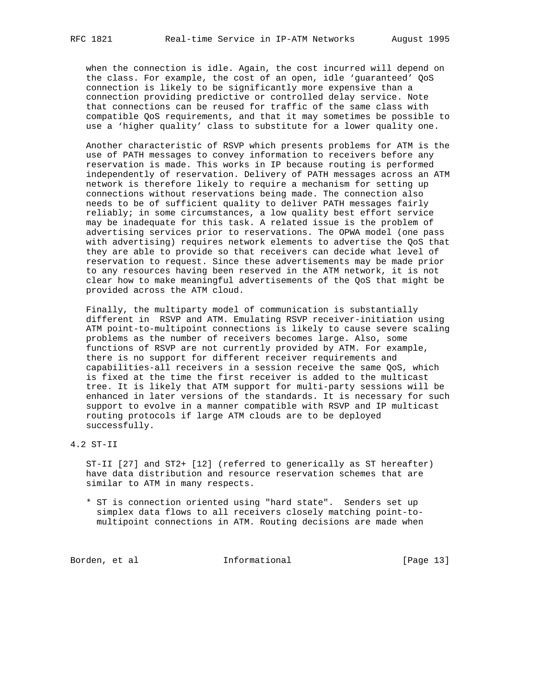when the connection is idle. Again, the cost incurred will depend on the class. For example, the cost of an open, idle 'guaranteed' QoS connection is likely to be significantly more expensive than a connection providing predictive or controlled delay service. Note that connections can be reused for traffic of the same class with compatible QoS requirements, and that it may sometimes be possible to use a 'higher quality' class to substitute for a lower quality one.

 Another characteristic of RSVP which presents problems for ATM is the use of PATH messages to convey information to receivers before any reservation is made. This works in IP because routing is performed independently of reservation. Delivery of PATH messages across an ATM network is therefore likely to require a mechanism for setting up connections without reservations being made. The connection also needs to be of sufficient quality to deliver PATH messages fairly reliably; in some circumstances, a low quality best effort service may be inadequate for this task. A related issue is the problem of advertising services prior to reservations. The OPWA model (one pass with advertising) requires network elements to advertise the QoS that they are able to provide so that receivers can decide what level of reservation to request. Since these advertisements may be made prior to any resources having been reserved in the ATM network, it is not clear how to make meaningful advertisements of the QoS that might be provided across the ATM cloud.

 Finally, the multiparty model of communication is substantially different in RSVP and ATM. Emulating RSVP receiver-initiation using ATM point-to-multipoint connections is likely to cause severe scaling problems as the number of receivers becomes large. Also, some functions of RSVP are not currently provided by ATM. For example, there is no support for different receiver requirements and capabilities-all receivers in a session receive the same QoS, which is fixed at the time the first receiver is added to the multicast tree. It is likely that ATM support for multi-party sessions will be enhanced in later versions of the standards. It is necessary for such support to evolve in a manner compatible with RSVP and IP multicast routing protocols if large ATM clouds are to be deployed successfully.

4.2 ST-II

 ST-II [27] and ST2+ [12] (referred to generically as ST hereafter) have data distribution and resource reservation schemes that are similar to ATM in many respects.

 \* ST is connection oriented using "hard state". Senders set up simplex data flows to all receivers closely matching point-to multipoint connections in ATM. Routing decisions are made when

Borden, et al **Informational** [Page 13]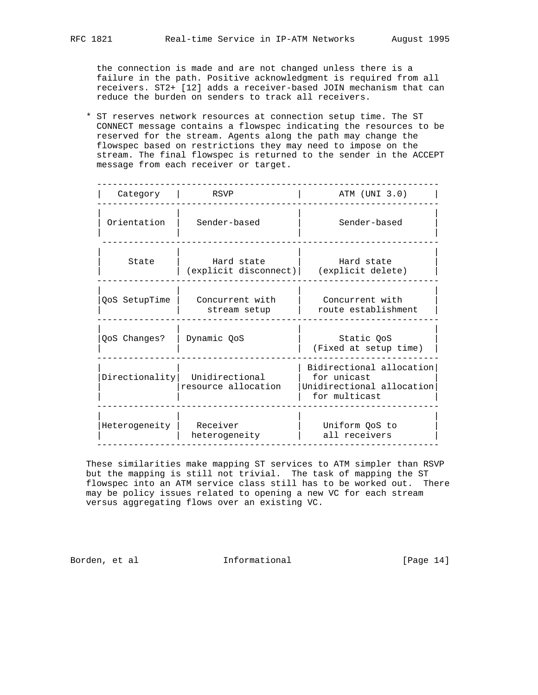the connection is made and are not changed unless there is a failure in the path. Positive acknowledgment is required from all receivers. ST2+ [12] adds a receiver-based JOIN mechanism that can reduce the burden on senders to track all receivers.

 \* ST reserves network resources at connection setup time. The ST CONNECT message contains a flowspec indicating the resources to be reserved for the stream. Agents along the path may change the flowspec based on restrictions they may need to impose on the stream. The final flowspec is returned to the sender in the ACCEPT message from each receiver or target.

| Category                 | RSVP                                                 | ATM (UNI 3.0)                                                                         |
|--------------------------|------------------------------------------------------|---------------------------------------------------------------------------------------|
| Orientation              | Sender-based                                         | Sender-based                                                                          |
| State                    | Hard state<br>(explicit disconnect)                  | Hard state<br>(explicit delete)                                                       |
| QoS SetupTime            | Concurrent with<br>stream setup                      | Concurrent with<br>route establishment                                                |
| QoS Changes?             | Dynamic QoS                                          | Static QoS<br>(Fixed at setup time)                                                   |
|                          | Directionality Unidirectional<br>resource allocation | Bidirectional allocation<br>for unicast<br>Unidirectional allocation<br>for multicast |
| Heterogeneity   Receiver | heterogeneity                                        | Uniform OoS to<br>all receivers                                                       |

 These similarities make mapping ST services to ATM simpler than RSVP but the mapping is still not trivial. The task of mapping the ST flowspec into an ATM service class still has to be worked out. There may be policy issues related to opening a new VC for each stream versus aggregating flows over an existing VC.

Borden, et al informational [Page 14]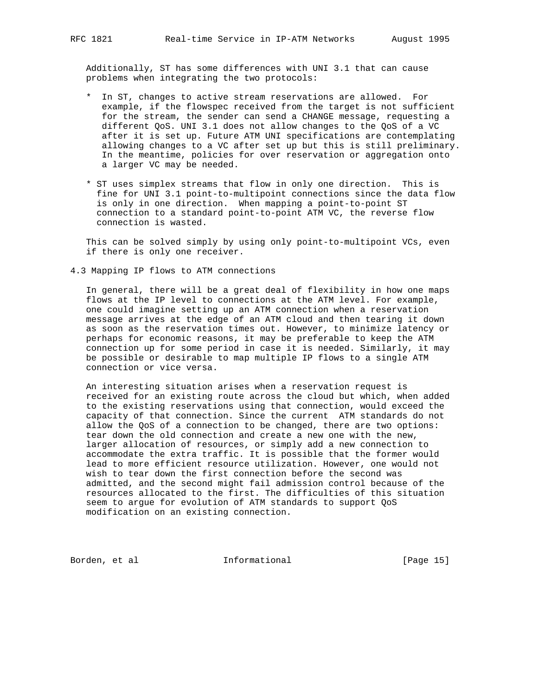Additionally, ST has some differences with UNI 3.1 that can cause problems when integrating the two protocols:

- \* In ST, changes to active stream reservations are allowed. For example, if the flowspec received from the target is not sufficient for the stream, the sender can send a CHANGE message, requesting a different QoS. UNI 3.1 does not allow changes to the QoS of a VC after it is set up. Future ATM UNI specifications are contemplating allowing changes to a VC after set up but this is still preliminary. In the meantime, policies for over reservation or aggregation onto a larger VC may be needed.
- \* ST uses simplex streams that flow in only one direction. This is fine for UNI 3.1 point-to-multipoint connections since the data flow is only in one direction. When mapping a point-to-point ST connection to a standard point-to-point ATM VC, the reverse flow connection is wasted.

 This can be solved simply by using only point-to-multipoint VCs, even if there is only one receiver.

4.3 Mapping IP flows to ATM connections

 In general, there will be a great deal of flexibility in how one maps flows at the IP level to connections at the ATM level. For example, one could imagine setting up an ATM connection when a reservation message arrives at the edge of an ATM cloud and then tearing it down as soon as the reservation times out. However, to minimize latency or perhaps for economic reasons, it may be preferable to keep the ATM connection up for some period in case it is needed. Similarly, it may be possible or desirable to map multiple IP flows to a single ATM connection or vice versa.

 An interesting situation arises when a reservation request is received for an existing route across the cloud but which, when added to the existing reservations using that connection, would exceed the capacity of that connection. Since the current ATM standards do not allow the QoS of a connection to be changed, there are two options: tear down the old connection and create a new one with the new, larger allocation of resources, or simply add a new connection to accommodate the extra traffic. It is possible that the former would lead to more efficient resource utilization. However, one would not wish to tear down the first connection before the second was admitted, and the second might fail admission control because of the resources allocated to the first. The difficulties of this situation seem to argue for evolution of ATM standards to support QoS modification on an existing connection.

Borden, et al informational [Page 15]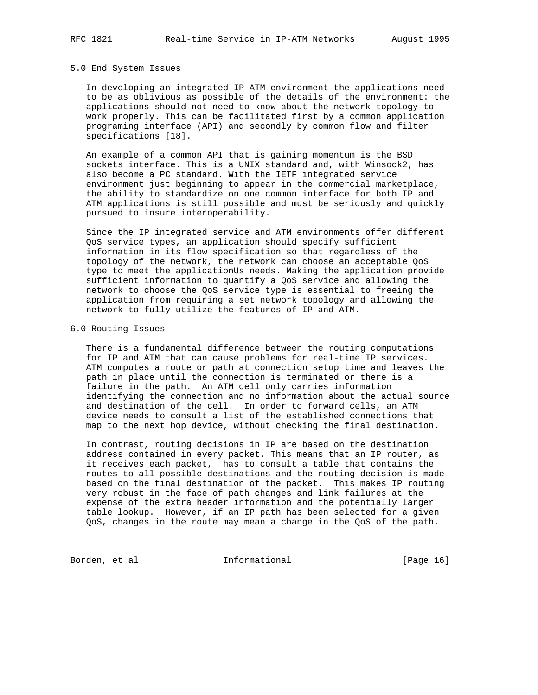#### 5.0 End System Issues

 In developing an integrated IP-ATM environment the applications need to be as oblivious as possible of the details of the environment: the applications should not need to know about the network topology to work properly. This can be facilitated first by a common application programing interface (API) and secondly by common flow and filter specifications [18].

 An example of a common API that is gaining momentum is the BSD sockets interface. This is a UNIX standard and, with Winsock2, has also become a PC standard. With the IETF integrated service environment just beginning to appear in the commercial marketplace, the ability to standardize on one common interface for both IP and ATM applications is still possible and must be seriously and quickly pursued to insure interoperability.

 Since the IP integrated service and ATM environments offer different QoS service types, an application should specify sufficient information in its flow specification so that regardless of the topology of the network, the network can choose an acceptable QoS type to meet the applicationUs needs. Making the application provide sufficient information to quantify a QoS service and allowing the network to choose the QoS service type is essential to freeing the application from requiring a set network topology and allowing the network to fully utilize the features of IP and ATM.

### 6.0 Routing Issues

 There is a fundamental difference between the routing computations for IP and ATM that can cause problems for real-time IP services. ATM computes a route or path at connection setup time and leaves the path in place until the connection is terminated or there is a failure in the path. An ATM cell only carries information identifying the connection and no information about the actual source and destination of the cell. In order to forward cells, an ATM device needs to consult a list of the established connections that map to the next hop device, without checking the final destination.

 In contrast, routing decisions in IP are based on the destination address contained in every packet. This means that an IP router, as it receives each packet, has to consult a table that contains the routes to all possible destinations and the routing decision is made based on the final destination of the packet. This makes IP routing very robust in the face of path changes and link failures at the expense of the extra header information and the potentially larger table lookup. However, if an IP path has been selected for a given QoS, changes in the route may mean a change in the QoS of the path.

Borden, et al **Informational** [Page 16]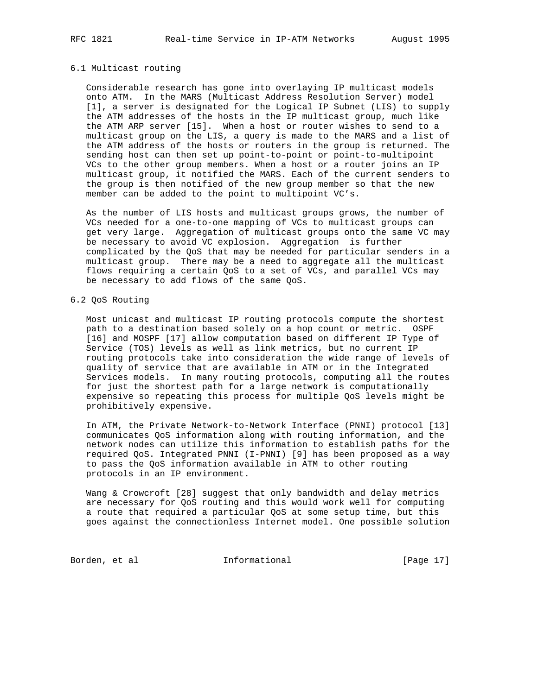#### 6.1 Multicast routing

 Considerable research has gone into overlaying IP multicast models onto ATM. In the MARS (Multicast Address Resolution Server) model [1], a server is designated for the Logical IP Subnet (LIS) to supply the ATM addresses of the hosts in the IP multicast group, much like the ATM ARP server [15]. When a host or router wishes to send to a multicast group on the LIS, a query is made to the MARS and a list of the ATM address of the hosts or routers in the group is returned. The sending host can then set up point-to-point or point-to-multipoint VCs to the other group members. When a host or a router joins an IP multicast group, it notified the MARS. Each of the current senders to the group is then notified of the new group member so that the new member can be added to the point to multipoint VC's.

 As the number of LIS hosts and multicast groups grows, the number of VCs needed for a one-to-one mapping of VCs to multicast groups can get very large. Aggregation of multicast groups onto the same VC may be necessary to avoid VC explosion. Aggregation is further complicated by the QoS that may be needed for particular senders in a multicast group. There may be a need to aggregate all the multicast flows requiring a certain QoS to a set of VCs, and parallel VCs may be necessary to add flows of the same QoS.

### 6.2 QoS Routing

 Most unicast and multicast IP routing protocols compute the shortest path to a destination based solely on a hop count or metric. OSPF [16] and MOSPF [17] allow computation based on different IP Type of Service (TOS) levels as well as link metrics, but no current IP routing protocols take into consideration the wide range of levels of quality of service that are available in ATM or in the Integrated Services models. In many routing protocols, computing all the routes for just the shortest path for a large network is computationally expensive so repeating this process for multiple QoS levels might be prohibitively expensive.

 In ATM, the Private Network-to-Network Interface (PNNI) protocol [13] communicates QoS information along with routing information, and the network nodes can utilize this information to establish paths for the required QoS. Integrated PNNI (I-PNNI) [9] has been proposed as a way to pass the QoS information available in ATM to other routing protocols in an IP environment.

 Wang & Crowcroft [28] suggest that only bandwidth and delay metrics are necessary for QoS routing and this would work well for computing a route that required a particular QoS at some setup time, but this goes against the connectionless Internet model. One possible solution

Borden, et al informational [Page 17]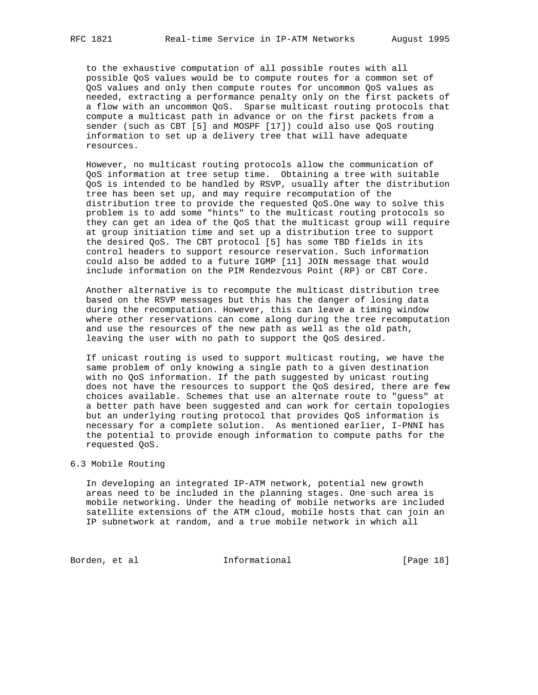to the exhaustive computation of all possible routes with all possible QoS values would be to compute routes for a common set of QoS values and only then compute routes for uncommon QoS values as needed, extracting a performance penalty only on the first packets of a flow with an uncommon QoS. Sparse multicast routing protocols that compute a multicast path in advance or on the first packets from a sender (such as CBT [5] and MOSPF [17]) could also use QoS routing information to set up a delivery tree that will have adequate resources.

 However, no multicast routing protocols allow the communication of QoS information at tree setup time. Obtaining a tree with suitable QoS is intended to be handled by RSVP, usually after the distribution tree has been set up, and may require recomputation of the distribution tree to provide the requested QoS.One way to solve this problem is to add some "hints" to the multicast routing protocols so they can get an idea of the QoS that the multicast group will require at group initiation time and set up a distribution tree to support the desired QoS. The CBT protocol [5] has some TBD fields in its control headers to support resource reservation. Such information could also be added to a future IGMP [11] JOIN message that would include information on the PIM Rendezvous Point (RP) or CBT Core.

 Another alternative is to recompute the multicast distribution tree based on the RSVP messages but this has the danger of losing data during the recomputation. However, this can leave a timing window where other reservations can come along during the tree recomputation and use the resources of the new path as well as the old path, leaving the user with no path to support the QoS desired.

 If unicast routing is used to support multicast routing, we have the same problem of only knowing a single path to a given destination with no QoS information. If the path suggested by unicast routing does not have the resources to support the QoS desired, there are few choices available. Schemes that use an alternate route to "guess" at a better path have been suggested and can work for certain topologies but an underlying routing protocol that provides QoS information is necessary for a complete solution. As mentioned earlier, I-PNNI has the potential to provide enough information to compute paths for the requested QoS.

### 6.3 Mobile Routing

 In developing an integrated IP-ATM network, potential new growth areas need to be included in the planning stages. One such area is mobile networking. Under the heading of mobile networks are included satellite extensions of the ATM cloud, mobile hosts that can join an IP subnetwork at random, and a true mobile network in which all

Borden, et al informational [Page 18]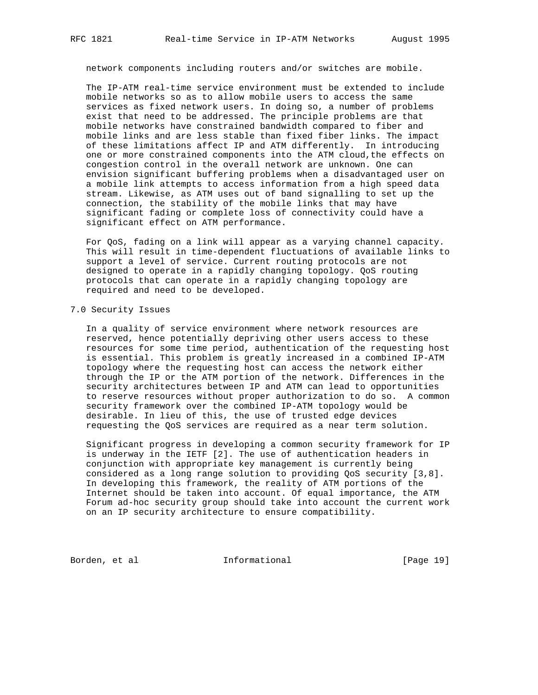network components including routers and/or switches are mobile.

 The IP-ATM real-time service environment must be extended to include mobile networks so as to allow mobile users to access the same services as fixed network users. In doing so, a number of problems exist that need to be addressed. The principle problems are that mobile networks have constrained bandwidth compared to fiber and mobile links and are less stable than fixed fiber links. The impact of these limitations affect IP and ATM differently. In introducing one or more constrained components into the ATM cloud,the effects on congestion control in the overall network are unknown. One can envision significant buffering problems when a disadvantaged user on a mobile link attempts to access information from a high speed data stream. Likewise, as ATM uses out of band signalling to set up the connection, the stability of the mobile links that may have significant fading or complete loss of connectivity could have a significant effect on ATM performance.

 For QoS, fading on a link will appear as a varying channel capacity. This will result in time-dependent fluctuations of available links to support a level of service. Current routing protocols are not designed to operate in a rapidly changing topology. QoS routing protocols that can operate in a rapidly changing topology are required and need to be developed.

### 7.0 Security Issues

 In a quality of service environment where network resources are reserved, hence potentially depriving other users access to these resources for some time period, authentication of the requesting host is essential. This problem is greatly increased in a combined IP-ATM topology where the requesting host can access the network either through the IP or the ATM portion of the network. Differences in the security architectures between IP and ATM can lead to opportunities to reserve resources without proper authorization to do so. A common security framework over the combined IP-ATM topology would be desirable. In lieu of this, the use of trusted edge devices requesting the QoS services are required as a near term solution.

 Significant progress in developing a common security framework for IP is underway in the IETF [2]. The use of authentication headers in conjunction with appropriate key management is currently being considered as a long range solution to providing QoS security [3,8]. In developing this framework, the reality of ATM portions of the Internet should be taken into account. Of equal importance, the ATM Forum ad-hoc security group should take into account the current work on an IP security architecture to ensure compatibility.

Borden, et al informational [Page 19]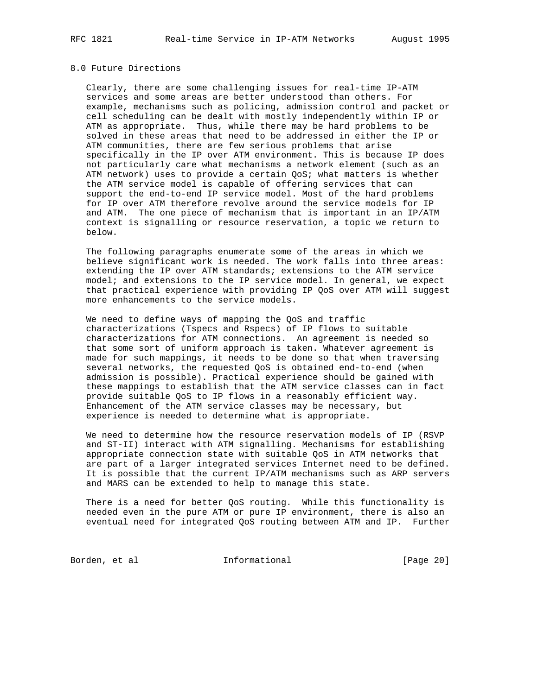## 8.0 Future Directions

 Clearly, there are some challenging issues for real-time IP-ATM services and some areas are better understood than others. For example, mechanisms such as policing, admission control and packet or cell scheduling can be dealt with mostly independently within IP or ATM as appropriate. Thus, while there may be hard problems to be solved in these areas that need to be addressed in either the IP or ATM communities, there are few serious problems that arise specifically in the IP over ATM environment. This is because IP does not particularly care what mechanisms a network element (such as an ATM network) uses to provide a certain QoS; what matters is whether the ATM service model is capable of offering services that can support the end-to-end IP service model. Most of the hard problems for IP over ATM therefore revolve around the service models for IP and ATM. The one piece of mechanism that is important in an IP/ATM context is signalling or resource reservation, a topic we return to below.

 The following paragraphs enumerate some of the areas in which we believe significant work is needed. The work falls into three areas: extending the IP over ATM standards; extensions to the ATM service model; and extensions to the IP service model. In general, we expect that practical experience with providing IP QoS over ATM will suggest more enhancements to the service models.

 We need to define ways of mapping the QoS and traffic characterizations (Tspecs and Rspecs) of IP flows to suitable characterizations for ATM connections. An agreement is needed so that some sort of uniform approach is taken. Whatever agreement is made for such mappings, it needs to be done so that when traversing several networks, the requested QoS is obtained end-to-end (when admission is possible). Practical experience should be gained with these mappings to establish that the ATM service classes can in fact provide suitable QoS to IP flows in a reasonably efficient way. Enhancement of the ATM service classes may be necessary, but experience is needed to determine what is appropriate.

 We need to determine how the resource reservation models of IP (RSVP and ST-II) interact with ATM signalling. Mechanisms for establishing appropriate connection state with suitable QoS in ATM networks that are part of a larger integrated services Internet need to be defined. It is possible that the current IP/ATM mechanisms such as ARP servers and MARS can be extended to help to manage this state.

 There is a need for better QoS routing. While this functionality is needed even in the pure ATM or pure IP environment, there is also an eventual need for integrated QoS routing between ATM and IP. Further

Borden, et al **Informational** [Page 20]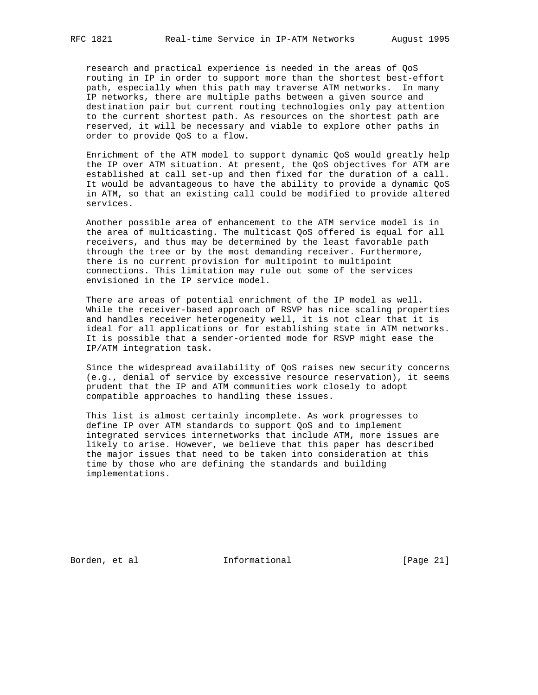research and practical experience is needed in the areas of QoS routing in IP in order to support more than the shortest best-effort path, especially when this path may traverse ATM networks. In many IP networks, there are multiple paths between a given source and destination pair but current routing technologies only pay attention to the current shortest path. As resources on the shortest path are reserved, it will be necessary and viable to explore other paths in order to provide QoS to a flow.

 Enrichment of the ATM model to support dynamic QoS would greatly help the IP over ATM situation. At present, the QoS objectives for ATM are established at call set-up and then fixed for the duration of a call. It would be advantageous to have the ability to provide a dynamic QoS in ATM, so that an existing call could be modified to provide altered services.

 Another possible area of enhancement to the ATM service model is in the area of multicasting. The multicast QoS offered is equal for all receivers, and thus may be determined by the least favorable path through the tree or by the most demanding receiver. Furthermore, there is no current provision for multipoint to multipoint connections. This limitation may rule out some of the services envisioned in the IP service model.

 There are areas of potential enrichment of the IP model as well. While the receiver-based approach of RSVP has nice scaling properties and handles receiver heterogeneity well, it is not clear that it is ideal for all applications or for establishing state in ATM networks. It is possible that a sender-oriented mode for RSVP might ease the IP/ATM integration task.

 Since the widespread availability of QoS raises new security concerns (e.g., denial of service by excessive resource reservation), it seems prudent that the IP and ATM communities work closely to adopt compatible approaches to handling these issues.

 This list is almost certainly incomplete. As work progresses to define IP over ATM standards to support QoS and to implement integrated services internetworks that include ATM, more issues are likely to arise. However, we believe that this paper has described the major issues that need to be taken into consideration at this time by those who are defining the standards and building implementations.

Borden, et al informational [Page 21]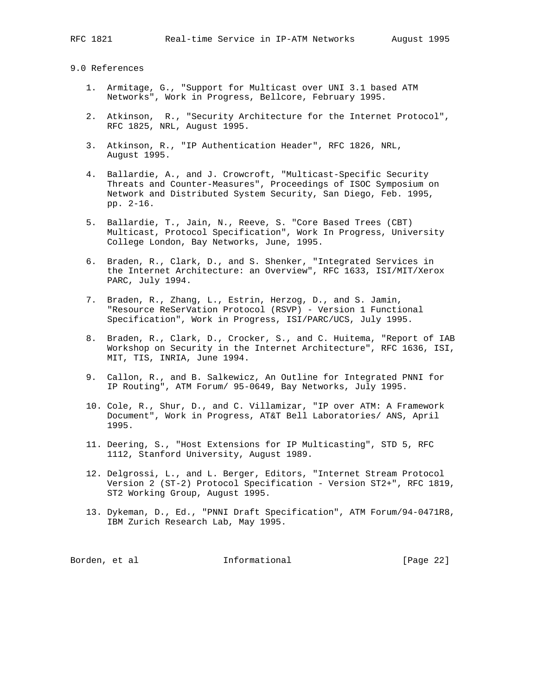#### 9.0 References

- 1. Armitage, G., "Support for Multicast over UNI 3.1 based ATM Networks", Work in Progress, Bellcore, February 1995.
- 2. Atkinson, R., "Security Architecture for the Internet Protocol", RFC 1825, NRL, August 1995.
- 3. Atkinson, R., "IP Authentication Header", RFC 1826, NRL, August 1995.
- 4. Ballardie, A., and J. Crowcroft, "Multicast-Specific Security Threats and Counter-Measures", Proceedings of ISOC Symposium on Network and Distributed System Security, San Diego, Feb. 1995, pp. 2-16.
- 5. Ballardie, T., Jain, N., Reeve, S. "Core Based Trees (CBT) Multicast, Protocol Specification", Work In Progress, University College London, Bay Networks, June, 1995.
- 6. Braden, R., Clark, D., and S. Shenker, "Integrated Services in the Internet Architecture: an Overview", RFC 1633, ISI/MIT/Xerox PARC, July 1994.
- 7. Braden, R., Zhang, L., Estrin, Herzog, D., and S. Jamin, "Resource ReSerVation Protocol (RSVP) - Version 1 Functional Specification", Work in Progress, ISI/PARC/UCS, July 1995.
- 8. Braden, R., Clark, D., Crocker, S., and C. Huitema, "Report of IAB Workshop on Security in the Internet Architecture", RFC 1636, ISI, MIT, TIS, INRIA, June 1994.
- 9. Callon, R., and B. Salkewicz, An Outline for Integrated PNNI for IP Routing", ATM Forum/ 95-0649, Bay Networks, July 1995.
- 10. Cole, R., Shur, D., and C. Villamizar, "IP over ATM: A Framework Document", Work in Progress, AT&T Bell Laboratories/ ANS, April 1995.
- 11. Deering, S., "Host Extensions for IP Multicasting", STD 5, RFC 1112, Stanford University, August 1989.
- 12. Delgrossi, L., and L. Berger, Editors, "Internet Stream Protocol Version 2 (ST-2) Protocol Specification - Version ST2+", RFC 1819, ST2 Working Group, August 1995.
- 13. Dykeman, D., Ed., "PNNI Draft Specification", ATM Forum/94-0471R8, IBM Zurich Research Lab, May 1995.

| Informational<br>Borden, et al | [Page 22] |
|--------------------------------|-----------|
|                                |           |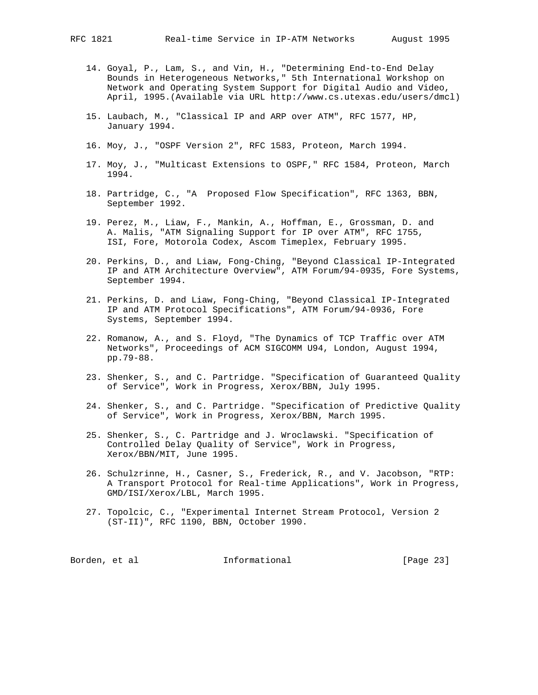- 14. Goyal, P., Lam, S., and Vin, H., "Determining End-to-End Delay Bounds in Heterogeneous Networks," 5th International Workshop on Network and Operating System Support for Digital Audio and Video, April, 1995.(Available via URL http://www.cs.utexas.edu/users/dmcl)
- 15. Laubach, M., "Classical IP and ARP over ATM", RFC 1577, HP, January 1994.
- 16. Moy, J., "OSPF Version 2", RFC 1583, Proteon, March 1994.
- 17. Moy, J., "Multicast Extensions to OSPF," RFC 1584, Proteon, March 1994.
- 18. Partridge, C., "A Proposed Flow Specification", RFC 1363, BBN, September 1992.
- 19. Perez, M., Liaw, F., Mankin, A., Hoffman, E., Grossman, D. and A. Malis, "ATM Signaling Support for IP over ATM", RFC 1755, ISI, Fore, Motorola Codex, Ascom Timeplex, February 1995.
- 20. Perkins, D., and Liaw, Fong-Ching, "Beyond Classical IP-Integrated IP and ATM Architecture Overview", ATM Forum/94-0935, Fore Systems, September 1994.
- 21. Perkins, D. and Liaw, Fong-Ching, "Beyond Classical IP-Integrated IP and ATM Protocol Specifications", ATM Forum/94-0936, Fore Systems, September 1994.
- 22. Romanow, A., and S. Floyd, "The Dynamics of TCP Traffic over ATM Networks", Proceedings of ACM SIGCOMM U94, London, August 1994, pp.79-88.
- 23. Shenker, S., and C. Partridge. "Specification of Guaranteed Quality of Service", Work in Progress, Xerox/BBN, July 1995.
- 24. Shenker, S., and C. Partridge. "Specification of Predictive Quality of Service", Work in Progress, Xerox/BBN, March 1995.
- 25. Shenker, S., C. Partridge and J. Wroclawski. "Specification of Controlled Delay Quality of Service", Work in Progress, Xerox/BBN/MIT, June 1995.
- 26. Schulzrinne, H., Casner, S., Frederick, R., and V. Jacobson, "RTP: A Transport Protocol for Real-time Applications", Work in Progress, GMD/ISI/Xerox/LBL, March 1995.
- 27. Topolcic, C., "Experimental Internet Stream Protocol, Version 2 (ST-II)", RFC 1190, BBN, October 1990.